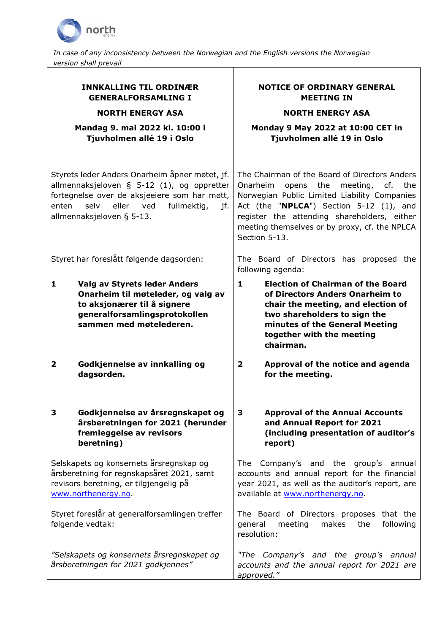

*In case of any inconsistency between the Norwegian and the English versions the Norwegian version shall prevail*

# **INNKALLING TIL ORDINÆR GENERALFORSAMLING I**

**NORTH ENERGY ASA**

#### **Mandag 9. mai 2022 kl. 10:00 i Tjuvholmen allé 19 i Oslo**

Styrets leder Anders Onarheim åpner møtet, jf. allmennaksjeloven § 5-12 (1), og oppretter fortegnelse over de aksjeeiere som har møtt, enten selv eller ved fullmektig, jf. allmennaksjeloven § 5-13.

- **1 Valg av Styrets leder Anders Onarheim til møteleder, og valg av to aksjonærer til å signere generalforsamlingsprotokollen sammen med møtelederen.**
- **2 Godkjennelse av innkalling og dagsorden.**

#### **3 Godkjennelse av årsregnskapet og årsberetningen for 2021 (herunder fremleggelse av revisors beretning)**

Selskapets og konsernets årsregnskap og årsberetning for regnskapsåret 2021, samt revisors beretning, er tilgjengelig på [www.northenergy.no.](http://www.northenergy.no/)

Styret foreslår at generalforsamlingen treffer følgende vedtak:

*"Selskapets og konsernets årsregnskapet og årsberetningen for 2021 godkjennes"* 

# **NOTICE OF ORDINARY GENERAL MEETING IN**

## **NORTH ENERGY ASA**

**Monday 9 May 2022 at 10:00 CET in Tjuvholmen allé 19 in Oslo**

The Chairman of the Board of Directors Anders Onarheim opens the meeting, cf. the Norwegian Public Limited Liability Companies Act (the "**NPLCA**") Section 5-12 (1), and register the attending shareholders, either meeting themselves or by proxy, cf. the NPLCA Section 5-13.

Styret har foreslått følgende dagsorden: The Board of Directors has proposed the following agenda:

- **1 Election of Chairman of the Board of Directors Anders Onarheim to chair the meeting, and election of two shareholders to sign the minutes of the General Meeting together with the meeting chairman.**
- **2 Approval of the notice and agenda for the meeting.**

### **3 Approval of the Annual Accounts and Annual Report for 2021 (including presentation of auditor's report)**

The Company's and the group's annual accounts and annual report for the financial year 2021, as well as the auditor's report, are available at [www.northenergy.no.](http://www.northenergy.no/)

The Board of Directors proposes that the general meeting makes the following resolution:

*"The Company's and the group's annual accounts and the annual report for 2021 are approved."*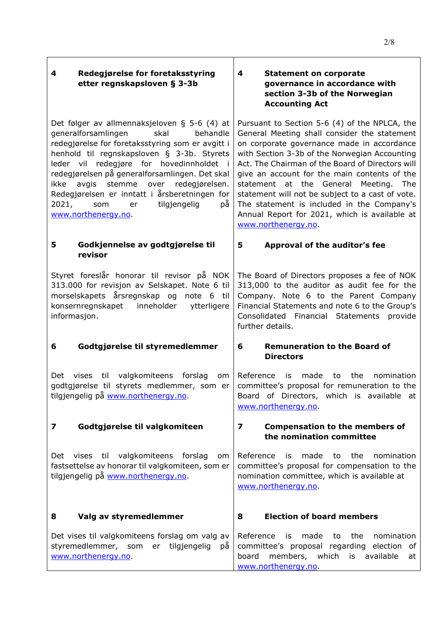| Redegjørelse for foretaksstyring<br>4<br>etter regnskapsloven § 3-3b                                                                                                                                                                                                                                                                                                                                                                                          | <b>Statement on corporate</b><br>4<br>governance in accordance with<br>section 3-3b of the Norwegian<br><b>Accounting Act</b>                                                                                                                                                                                                                                                                                                                                                                                       |
|---------------------------------------------------------------------------------------------------------------------------------------------------------------------------------------------------------------------------------------------------------------------------------------------------------------------------------------------------------------------------------------------------------------------------------------------------------------|---------------------------------------------------------------------------------------------------------------------------------------------------------------------------------------------------------------------------------------------------------------------------------------------------------------------------------------------------------------------------------------------------------------------------------------------------------------------------------------------------------------------|
| Det følger av allmennaksjeloven § 5-6 (4) at<br>generalforsamlingen<br>skal<br>behandle<br>redegjørelse for foretaksstyring som er avgitt i<br>henhold til regnskapsloven § 3-3b. Styrets<br>leder vil redegjøre for hovedinnholdet i<br>redegjørelsen på generalforsamlingen. Det skal<br>avgis stemme<br>over<br>redegjørelsen.<br>ikke<br>Redegjørelsen er inntatt i årsberetningen for<br>рå<br>2021,<br>tilgjengelig<br>som<br>er<br>www.northenergy.no. | Pursuant to Section 5-6 (4) of the NPLCA, the<br>General Meeting shall consider the statement<br>on corporate governance made in accordance<br>with Section 3-3b of the Norwegian Accounting<br>Act. The Chairman of the Board of Directors will<br>give an account for the main contents of the<br>statement at the General Meeting. The<br>statement will not be subject to a cast of vote.<br>The statement is included in the Company's<br>Annual Report for 2021, which is available at<br>www.northenergy.no. |
| Godkjennelse av godtgjørelse til<br>5<br>revisor                                                                                                                                                                                                                                                                                                                                                                                                              | 5<br>Approval of the auditor's fee                                                                                                                                                                                                                                                                                                                                                                                                                                                                                  |
| Styret foreslår honorar til revisor på NOK<br>313.000 for revisjon av Selskapet. Note 6 til<br>morselskapets årsregnskap og note 6 til<br>konsernregnskapet inneholder<br>ytterligere<br>informasjon.                                                                                                                                                                                                                                                         | The Board of Directors proposes a fee of NOK<br>313,000 to the auditor as audit fee for the<br>Company. Note 6 to the Parent Company<br>Financial Statements and note 6 to the Group's<br>Consolidated Financial Statements provide<br>further details.                                                                                                                                                                                                                                                             |
| Godtgjørelse til styremedlemmer<br>6                                                                                                                                                                                                                                                                                                                                                                                                                          | <b>Remuneration to the Board of</b><br>6<br><b>Directors</b>                                                                                                                                                                                                                                                                                                                                                                                                                                                        |
| valgkomiteens<br>forslag<br>vises til<br>Det<br>om<br>godtgjørelse til styrets medlemmer, som er<br>tilgjengelig på www.northenergy.no.                                                                                                                                                                                                                                                                                                                       | Reference is<br>made<br>to the<br>nomination<br>committee's proposal for remuneration to the<br>Board of Directors, which is available at<br>www.northenergy.no.                                                                                                                                                                                                                                                                                                                                                    |
| Godtgjørelse til valgkomiteen<br>7                                                                                                                                                                                                                                                                                                                                                                                                                            | $\overline{\mathbf{z}}$<br><b>Compensation to the members of</b><br>the nomination committee                                                                                                                                                                                                                                                                                                                                                                                                                        |
| vises til valgkomiteens forslag<br>Det<br>om<br>fastsettelse av honorar til valgkomiteen, som er<br>tilgjengelig på www.northenergy.no.                                                                                                                                                                                                                                                                                                                       | Reference<br>is<br>made<br>the<br>nomination<br>to<br>committee's proposal for compensation to the<br>nomination committee, which is available at<br>www.northenergy.no.                                                                                                                                                                                                                                                                                                                                            |
| Valg av styremedlemmer<br>8                                                                                                                                                                                                                                                                                                                                                                                                                                   | <b>Election of board members</b><br>8                                                                                                                                                                                                                                                                                                                                                                                                                                                                               |
| Det vises til valgkomiteens forslag om valg av<br>styremedlemmer, som<br>er tilgjengelig<br>рă<br>www.northenergy.no.                                                                                                                                                                                                                                                                                                                                         | Reference<br>made<br>the<br>nomination<br>is.<br>to<br>committee's proposal regarding election of<br>board members, which is available<br>at<br>www.northenergy.no.                                                                                                                                                                                                                                                                                                                                                 |

2/8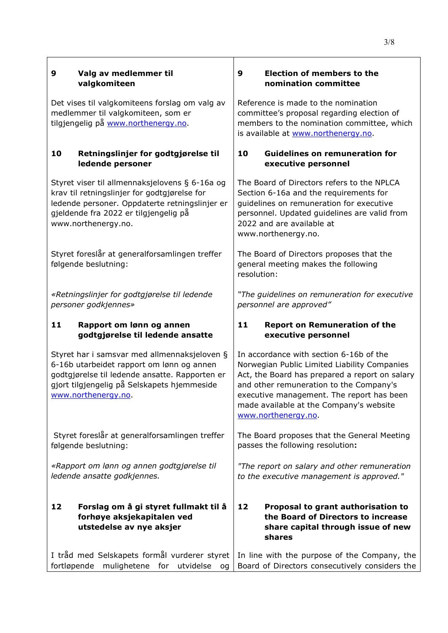| 9  | Valg av medlemmer til<br>valgkomiteen                                                                                                                                                                             | 9<br><b>Election of members to the</b><br>nomination committee                                                                                                                                                                                                                                      |
|----|-------------------------------------------------------------------------------------------------------------------------------------------------------------------------------------------------------------------|-----------------------------------------------------------------------------------------------------------------------------------------------------------------------------------------------------------------------------------------------------------------------------------------------------|
|    | Det vises til valgkomiteens forslag om valg av<br>medlemmer til valgkomiteen, som er<br>tilgjengelig på www.northenergy.no.                                                                                       | Reference is made to the nomination<br>committee's proposal regarding election of<br>members to the nomination committee, which<br>is available at www.northenergy.no.                                                                                                                              |
| 10 | Retningslinjer for godtgjørelse til<br>ledende personer                                                                                                                                                           | 10<br><b>Guidelines on remuneration for</b><br>executive personnel                                                                                                                                                                                                                                  |
|    | Styret viser til allmennaksjelovens § 6-16a og<br>krav til retningslinjer for godtgjørelse for<br>ledende personer. Oppdaterte retningslinjer er<br>gjeldende fra 2022 er tilgjengelig på<br>www.northenergy.no.  | The Board of Directors refers to the NPLCA<br>Section 6-16a and the requirements for<br>guidelines on remuneration for executive<br>personnel. Updated guidelines are valid from<br>2022 and are available at<br>www.northenergy.no.                                                                |
|    | Styret foreslår at generalforsamlingen treffer<br>følgende beslutning:                                                                                                                                            | The Board of Directors proposes that the<br>general meeting makes the following<br>resolution:                                                                                                                                                                                                      |
|    | «Retningslinjer for godtgjørelse til ledende<br>personer godkjennes»                                                                                                                                              | "The guidelines on remuneration for executive<br>personnel are approved"                                                                                                                                                                                                                            |
|    |                                                                                                                                                                                                                   |                                                                                                                                                                                                                                                                                                     |
| 11 | Rapport om lønn og annen<br>godtgjørelse til ledende ansatte                                                                                                                                                      | 11<br><b>Report on Remuneration of the</b><br>executive personnel                                                                                                                                                                                                                                   |
|    | Styret har i samsvar med allmennaksjeloven §<br>6-16b utarbeidet rapport om lønn og annen<br>godtgjørelse til ledende ansatte. Rapporten er<br>gjort tilgjengelig på Selskapets hjemmeside<br>www.northenergy.no. | In accordance with section 6-16b of the<br>Norwegian Public Limited Liability Companies<br>Act, the Board has prepared a report on salary<br>and other remuneration to the Company's<br>executive management. The report has been<br>made available at the Company's website<br>www.northenergy.no. |
|    | Styret foreslår at generalforsamlingen treffer<br>følgende beslutning:                                                                                                                                            | The Board proposes that the General Meeting<br>passes the following resolution:                                                                                                                                                                                                                     |
|    | «Rapport om lønn og annen godtgjørelse til<br>ledende ansatte godkjennes.                                                                                                                                         | "The report on salary and other remuneration<br>to the executive management is approved."                                                                                                                                                                                                           |
| 12 | Forslag om å gi styret fullmakt til å<br>forhøye aksjekapitalen ved<br>utstedelse av nye aksjer                                                                                                                   | 12<br>Proposal to grant authorisation to<br>the Board of Directors to increase<br>share capital through issue of new<br>shares                                                                                                                                                                      |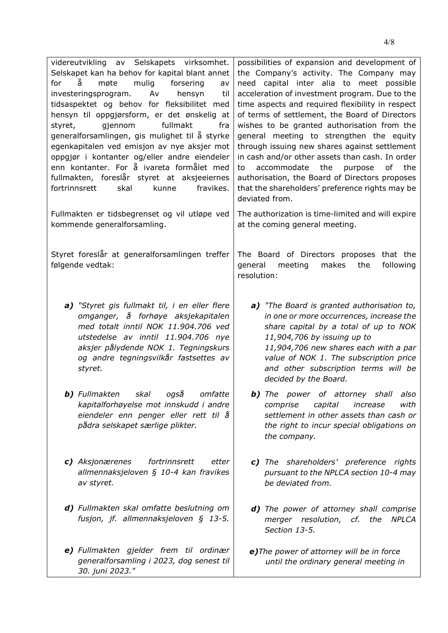| videreutvikling av Selskapets virksomhet.<br>Selskapet kan ha behov for kapital blant annet<br>ă<br>mulig<br>for<br>møte<br>forsering<br>av<br>investeringsprogram.<br>Av<br>hensyn<br>til<br>tidsaspektet og behov for fleksibilitet med<br>hensyn til oppgjørsform, er det ønskelig at<br>fullmakt<br>gjennom<br>styret,<br>fra<br>generalforsamlingen, gis mulighet til å styrke<br>egenkapitalen ved emisjon av nye aksjer mot<br>oppgjør i kontanter og/eller andre eiendeler<br>enn kontanter. For å ivareta formålet med<br>fullmakten, foreslår styret at aksjeeiernes<br>fravikes.<br>fortrinnsrett<br>skal<br>kunne | possibilities of expansion and development of<br>the Company's activity. The Company may<br>need capital inter alia to meet possible<br>acceleration of investment program. Due to the<br>time aspects and required flexibility in respect<br>of terms of settlement, the Board of Directors<br>wishes to be granted authorisation from the<br>general meeting to strengthen the equity<br>through issuing new shares against settlement<br>in cash and/or other assets than cash. In order<br>accommodate<br>the<br>purpose<br>of<br>the<br>to<br>authorisation, the Board of Directors proposes<br>that the shareholders' preference rights may be<br>deviated from. |
|-------------------------------------------------------------------------------------------------------------------------------------------------------------------------------------------------------------------------------------------------------------------------------------------------------------------------------------------------------------------------------------------------------------------------------------------------------------------------------------------------------------------------------------------------------------------------------------------------------------------------------|------------------------------------------------------------------------------------------------------------------------------------------------------------------------------------------------------------------------------------------------------------------------------------------------------------------------------------------------------------------------------------------------------------------------------------------------------------------------------------------------------------------------------------------------------------------------------------------------------------------------------------------------------------------------|
| Fullmakten er tidsbegrenset og vil utløpe ved<br>kommende generalforsamling.                                                                                                                                                                                                                                                                                                                                                                                                                                                                                                                                                  | The authorization is time-limited and will expire<br>at the coming general meeting.                                                                                                                                                                                                                                                                                                                                                                                                                                                                                                                                                                                    |
| Styret foreslår at generalforsamlingen treffer<br>følgende vedtak:                                                                                                                                                                                                                                                                                                                                                                                                                                                                                                                                                            | The Board of Directors proposes that the<br>makes<br>following<br>general<br>meeting<br>the<br>resolution:                                                                                                                                                                                                                                                                                                                                                                                                                                                                                                                                                             |
| a) "Styret gis fullmakt til, i en eller flere<br>omganger, å forhøye aksjekapitalen<br>med totalt inntil NOK 11.904.706 ved<br>utstedelse av inntil 11.904.706 nye<br>aksjer pålydende NOK 1. Tegningskurs<br>og andre tegningsvilkår fastsettes av<br>styret.                                                                                                                                                                                                                                                                                                                                                                | a) "The Board is granted authorisation to,<br>in one or more occurrences, increase the<br>share capital by a total of up to NOK<br>11,904,706 by issuing up to<br>11,904,706 new shares each with a par<br>value of NOK 1. The subscription price<br>and other subscription terms will be<br>decided by the Board.                                                                                                                                                                                                                                                                                                                                                     |
| <b>b)</b> Fullmakten<br>skal<br>også<br>omfatte<br>kapitalforhøyelse mot innskudd i andre<br>eiendeler enn penger eller rett til å<br>pådra selskapet særlige plikter.                                                                                                                                                                                                                                                                                                                                                                                                                                                        | <b>b)</b> The power of attorney shall<br>also<br>comprise<br>increase<br>with<br>capital<br>settlement in other assets than cash or<br>the right to incur special obligations on<br>the company.                                                                                                                                                                                                                                                                                                                                                                                                                                                                       |
| c) Aksjonærenes<br>fortrinnsrett<br>etter<br>allmennaksjeloven § 10-4 kan fravikes<br>av styret.                                                                                                                                                                                                                                                                                                                                                                                                                                                                                                                              | c) The shareholders' preference rights<br>pursuant to the NPLCA section 10-4 may<br>be deviated from.                                                                                                                                                                                                                                                                                                                                                                                                                                                                                                                                                                  |
| d) Fullmakten skal omfatte beslutning om<br>fusjon, jf. allmennaksjeloven § 13-5.                                                                                                                                                                                                                                                                                                                                                                                                                                                                                                                                             | d) The power of attorney shall comprise<br>merger resolution, cf. the<br>NPLCA<br>Section 13-5.                                                                                                                                                                                                                                                                                                                                                                                                                                                                                                                                                                        |
| e) Fullmakten gjelder frem til ordinær<br>generalforsamling i 2023, dog senest til<br>30. juni 2023."                                                                                                                                                                                                                                                                                                                                                                                                                                                                                                                         | e) The power of attorney will be in force<br>until the ordinary general meeting in                                                                                                                                                                                                                                                                                                                                                                                                                                                                                                                                                                                     |

4/8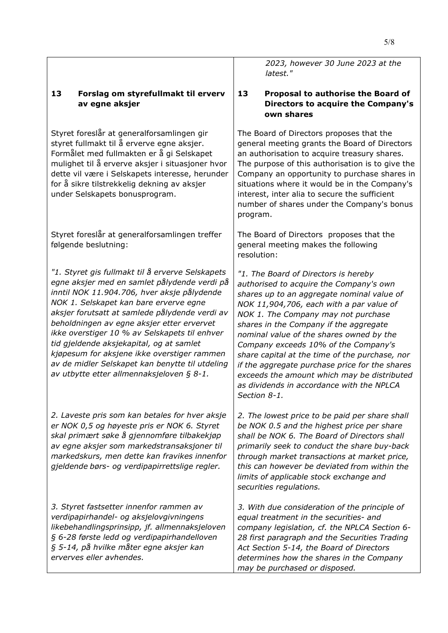### **13 Forslag om styrefullmakt til erverv av egne aksjer**

Styret foreslår at generalforsamlingen gir styret fullmakt til å erverve egne aksjer. Formålet med fullmakten er å gi Selskapet mulighet til å erverve aksjer i situasjoner hvor dette vil være i Selskapets interesse, herunder for å sikre tilstrekkelig dekning av aksjer under Selskapets bonusprogram.

Styret foreslår at generalforsamlingen treffer følgende beslutning:

*"1. Styret gis fullmakt til å erverve Selskapets egne aksjer med en samlet pålydende verdi på inntil NOK 11.904.706, hver aksje pålydende NOK 1. Selskapet kan bare erverve egne aksjer forutsatt at samlede pålydende verdi av beholdningen av egne aksjer etter ervervet ikke overstiger 10 % av Selskapets til enhver tid gjeldende aksjekapital, og at samlet kjøpesum for aksjene ikke overstiger rammen av de midler Selskapet kan benytte til utdeling av utbytte etter allmennaksjeloven § 8-1.* 

*2. Laveste pris som kan betales for hver aksje er NOK 0,5 og høyeste pris er NOK 6. Styret skal primært søke å gjennomføre tilbakekjøp av egne aksjer som markedstransaksjoner til markedskurs, men dette kan fravikes innenfor gjeldende børs- og verdipapirrettslige regler.* 

*3. Styret fastsetter innenfor rammen av verdipapirhandel- og aksjelovgivningens likebehandlingsprinsipp, jf. allmennaksjeloven § 6-28 første ledd og verdipapirhandelloven § 5-14, på hvilke måter egne aksjer kan erverves eller avhendes.* 

*2023, however 30 June 2023 at the latest."*

#### **13 Proposal to authorise the Board of Directors to acquire the Company's own shares**

The Board of Directors proposes that the general meeting grants the Board of Directors an authorisation to acquire treasury shares. The purpose of this authorisation is to give the Company an opportunity to purchase shares in situations where it would be in the Company's interest, inter alia to secure the sufficient number of shares under the Company's bonus program.

The Board of Directors proposes that the general meeting makes the following resolution:

*"1. The Board of Directors is hereby authorised to acquire the Company's own shares up to an aggregate nominal value of NOK 11,904,706, each with a par value of NOK 1. The Company may not purchase shares in the Company if the aggregate nominal value of the shares owned by the Company exceeds 10% of the Company's share capital at the time of the purchase, nor if the aggregate purchase price for the shares exceeds the amount which may be distributed as dividends in accordance with the NPLCA Section 8-1.* 

*2. The lowest price to be paid per share shall be NOK 0.5 and the highest price per share shall be NOK 6. The Board of Directors shall primarily seek to conduct the share buy-back through market transactions at market price, this can however be deviated from within the limits of applicable stock exchange and securities regulations.* 

*3. With due consideration of the principle of equal treatment in the securities- and company legislation, cf. the NPLCA Section 6- 28 first paragraph and the Securities Trading Act Section 5-14, the Board of Directors determines how the shares in the Company may be purchased or disposed.*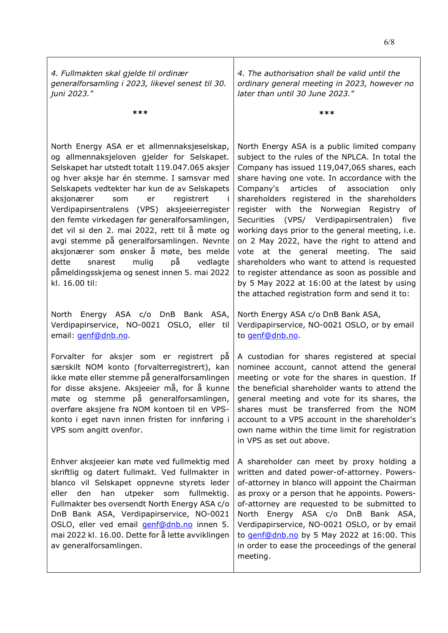*4. Fullmakten skal gjelde til ordinær generalforsamling i 2023, likevel senest til 30. juni 2023."*  **\*\*\***  *4. The authorisation shall be valid until the ordinary general meeting in 2023, however no later than until 30 June 2023."*  **\*\*\***  North Energy ASA er et allmennaksjeselskap, og allmennaksjeloven gjelder for Selskapet. Selskapet har utstedt totalt 119.047.065 aksjer og hver aksje har én stemme. I samsvar med Selskapets vedtekter har kun de av Selskapets aksjonærer som er registrert i Verdipapirsentralens (VPS) aksjeeierregister den femte virkedagen før generalforsamlingen, det vil si den 2. mai 2022, rett til å møte og avgi stemme på generalforsamlingen. Nevnte aksjonærer som ønsker å møte, bes melde dette snarest mulig på vedlagte påmeldingsskjema og senest innen 5. mai 2022 kl. 16.00 til: North Energy ASA is a public limited company subject to the rules of the NPLCA. In total the Company has issued 119,047,065 shares, each share having one vote. In accordance with the Company's articles of association only shareholders registered in the shareholders register with the Norwegian Registry of Securities (VPS/ Verdipapirsentralen) five working days prior to the general meeting, i.e. on 2 May 2022, have the right to attend and vote at the general meeting. The said shareholders who want to attend is requested to register attendance as soon as possible and by 5 May 2022 at 16:00 at the latest by using the attached registration form and send it to: North Energy ASA c/o DnB Bank ASA, Verdipapirservice, NO-0021 OSLO, eller til email: **genf@dnb.no.** North Energy ASA c/o DnB Bank ASA, Verdipapirservice, NO-0021 OSLO, or by email to [genf@dnb.no.](mailto:genf@dnb.no) Forvalter for aksjer som er registrert på særskilt NOM konto (forvalterregistrert), kan ikke møte eller stemme på generalforsamlingen for disse aksjene. Aksjeeier må, for å kunne møte og stemme på generalforsamlingen, overføre aksjene fra NOM kontoen til en VPSkonto i eget navn innen fristen for innføring i VPS som angitt ovenfor. A custodian for shares registered at special nominee account, cannot attend the general meeting or vote for the shares in question. If the beneficial shareholder wants to attend the general meeting and vote for its shares, the shares must be transferred from the NOM account to a VPS account in the shareholder's own name within the time limit for registration in VPS as set out above. Enhver aksjeeier kan møte ved fullmektig med skriftlig og datert fullmakt. Ved fullmakter in blanco vil Selskapet oppnevne styrets leder eller den han utpeker som fullmektig. Fullmakter bes oversendt North Energy ASA c/o DnB Bank ASA, Verdipapirservice, NO-0021 OSLO, eller ved email [genf@dnb.no](mailto:genf@dnb.no) innen 5. mai 2022 kl. 16.00. Dette for å lette avviklingen av generalforsamlingen. A shareholder can meet by proxy holding a written and dated power-of-attorney. Powersof-attorney in blanco will appoint the Chairman as proxy or a person that he appoints. Powersof-attorney are requested to be submitted to North Energy ASA c/o DnB Bank ASA, Verdipapirservice, NO-0021 OSLO, or by email to [genf@dnb.no](mailto:genf@dnb.no) by 5 May 2022 at 16:00. This in order to ease the proceedings of the general meeting.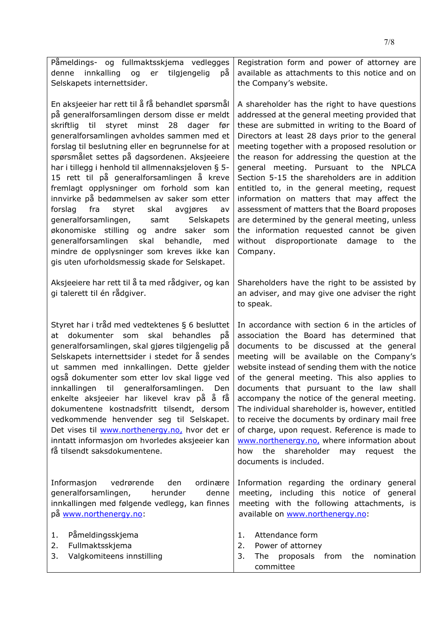| Påmeldings- og fullmaktsskjema vedlegges<br>innkalling<br>рă<br>denne<br>og<br>er<br>tilgjengelig<br>Selskapets internettsider.                                                                                                                                                                                                                                                                                                                                                                                                                                                                                                                                                                                                                                                                            | Registration form and power of attorney are<br>available as attachments to this notice and on<br>the Company's website.                                                                                                                                                                                                                                                                                                                                                                                                                                                                                                                                                                               |
|------------------------------------------------------------------------------------------------------------------------------------------------------------------------------------------------------------------------------------------------------------------------------------------------------------------------------------------------------------------------------------------------------------------------------------------------------------------------------------------------------------------------------------------------------------------------------------------------------------------------------------------------------------------------------------------------------------------------------------------------------------------------------------------------------------|-------------------------------------------------------------------------------------------------------------------------------------------------------------------------------------------------------------------------------------------------------------------------------------------------------------------------------------------------------------------------------------------------------------------------------------------------------------------------------------------------------------------------------------------------------------------------------------------------------------------------------------------------------------------------------------------------------|
| En aksjeeier har rett til å få behandlet spørsmål<br>på generalforsamlingen dersom disse er meldt<br>skriftlig til<br>styret minst 28<br>dager før<br>generalforsamlingen avholdes sammen med et<br>forslag til beslutning eller en begrunnelse for at<br>spørsmålet settes på dagsordenen. Aksjeeiere<br>har i tillegg i henhold til allmennaksjeloven § 5-<br>15 rett til på generalforsamlingen å kreve<br>fremlagt opplysninger om forhold som kan<br>innvirke på bedømmelsen av saker som etter<br>fra<br>forslag<br>styret<br>skal<br>avgjøres<br>av<br>generalforsamlingen,<br>samt<br>Selskapets<br>økonomiske stilling<br>og andre saker<br>som<br>generalforsamlingen<br>skal<br>behandle,<br>med<br>mindre de opplysninger som kreves ikke kan<br>gis uten uforholdsmessig skade for Selskapet. | A shareholder has the right to have questions<br>addressed at the general meeting provided that<br>these are submitted in writing to the Board of<br>Directors at least 28 days prior to the general<br>meeting together with a proposed resolution or<br>the reason for addressing the question at the<br>general meeting. Pursuant to the NPLCA<br>Section 5-15 the shareholders are in addition<br>entitled to, in the general meeting, request<br>information on matters that may affect the<br>assessment of matters that the Board proposes<br>are determined by the general meeting, unless<br>the information requested cannot be given<br>without disproportionate damage to the<br>Company. |
| Aksjeeiere har rett til å ta med rådgiver, og kan<br>gi talerett til én rådgiver.                                                                                                                                                                                                                                                                                                                                                                                                                                                                                                                                                                                                                                                                                                                          | Shareholders have the right to be assisted by<br>an adviser, and may give one adviser the right<br>to speak.                                                                                                                                                                                                                                                                                                                                                                                                                                                                                                                                                                                          |
| Styret har i tråd med vedtektenes § 6 besluttet<br>dokumenter som<br>skal<br>behandles<br>рă<br>at<br>generalforsamlingen, skal gjøres tilgjengelig på<br>Selskapets internettsider i stedet for å sendes<br>ut sammen med innkallingen. Dette gjelder<br>også dokumenter som etter lov skal ligge ved<br>til<br>innkallingen<br>generalforsamlingen.<br>Den<br>enkelte aksjeeier har likevel krav på å få<br>dokumentene kostnadsfritt tilsendt, dersom<br>vedkommende henvender seg til Selskapet.<br>Det vises til www.northenergy.no, hvor det er<br>inntatt informasjon om hvorledes aksjeeier kan<br>få tilsendt saksdokumentene.                                                                                                                                                                    | In accordance with section 6 in the articles of<br>association the Board has determined that<br>documents to be discussed at the general<br>meeting will be available on the Company's<br>website instead of sending them with the notice<br>of the general meeting. This also applies to<br>documents that pursuant to the law shall<br>accompany the notice of the general meeting.<br>The individual shareholder is, however, entitled<br>to receive the documents by ordinary mail free<br>of charge, upon request. Reference is made to<br>www.northenergy.no, where information about<br>the<br>shareholder<br>how<br>request the<br>may<br>documents is included.                              |
| Informasjon<br>vedrørende<br>den<br>ordinære<br>generalforsamlingen,<br>herunder<br>denne<br>innkallingen med følgende vedlegg, kan finnes<br>på www.northenergy.no:                                                                                                                                                                                                                                                                                                                                                                                                                                                                                                                                                                                                                                       | Information regarding the ordinary general<br>meeting, including this notice of general<br>meeting with the following attachments, is<br>available on www.northenergy.no:                                                                                                                                                                                                                                                                                                                                                                                                                                                                                                                             |
| Påmeldingsskjema<br>1.<br>Fullmaktsskjema<br>2.<br>Valgkomiteens innstilling<br>3.                                                                                                                                                                                                                                                                                                                                                                                                                                                                                                                                                                                                                                                                                                                         | Attendance form<br>1.<br>2.<br>Power of attorney<br>3.<br>proposals<br>nomination<br>The<br>from<br>the<br>committee                                                                                                                                                                                                                                                                                                                                                                                                                                                                                                                                                                                  |